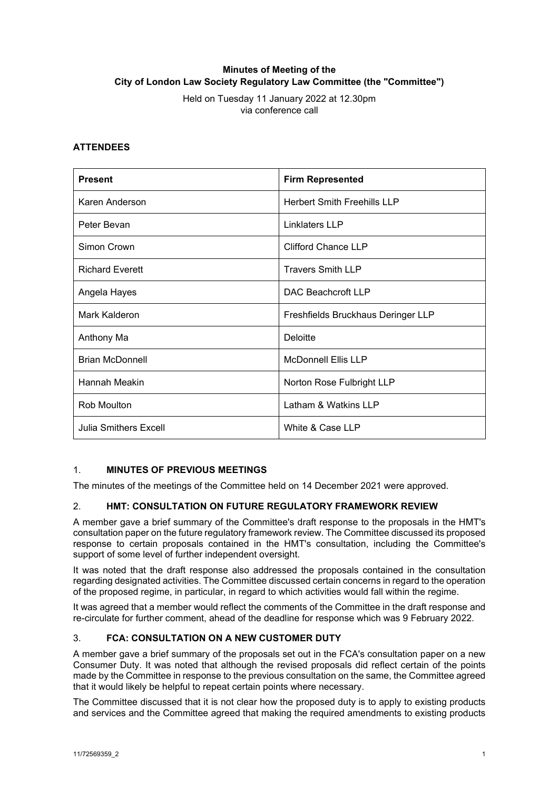# **Minutes of Meeting of the City of London Law Society Regulatory Law Committee (the "Committee")**

Held on Tuesday 11 January 2022 at 12.30pm via conference call

## **ATTENDEES**

| <b>Present</b>               | <b>Firm Represented</b>            |
|------------------------------|------------------------------------|
| Karen Anderson               | <b>Herbert Smith Freehills LLP</b> |
| Peter Bevan                  | Linklaters LLP                     |
| Simon Crown                  | <b>Clifford Chance LLP</b>         |
| <b>Richard Everett</b>       | <b>Travers Smith LLP</b>           |
| Angela Hayes                 | DAC Beachcroft LLP                 |
| Mark Kalderon                | Freshfields Bruckhaus Deringer LLP |
| Anthony Ma                   | Deloitte                           |
| <b>Brian McDonnell</b>       | <b>McDonnell Ellis LLP</b>         |
| Hannah Meakin                | Norton Rose Fulbright LLP          |
| Rob Moulton                  | Latham & Watkins LLP               |
| <b>Julia Smithers Excell</b> | White & Case LLP                   |

# 1. **MINUTES OF PREVIOUS MEETINGS**

The minutes of the meetings of the Committee held on 14 December 2021 were approved.

# 2. **HMT: CONSULTATION ON FUTURE REGULATORY FRAMEWORK REVIEW**

A member gave a brief summary of the Committee's draft response to the proposals in the HMT's consultation paper on the future regulatory framework review. The Committee discussed its proposed response to certain proposals contained in the HMT's consultation, including the Committee's support of some level of further independent oversight.

It was noted that the draft response also addressed the proposals contained in the consultation regarding designated activities. The Committee discussed certain concerns in regard to the operation of the proposed regime, in particular, in regard to which activities would fall within the regime.

It was agreed that a member would reflect the comments of the Committee in the draft response and re-circulate for further comment, ahead of the deadline for response which was 9 February 2022.

## 3. **FCA: CONSULTATION ON A NEW CUSTOMER DUTY**

A member gave a brief summary of the proposals set out in the FCA's consultation paper on a new Consumer Duty. It was noted that although the revised proposals did reflect certain of the points made by the Committee in response to the previous consultation on the same, the Committee agreed that it would likely be helpful to repeat certain points where necessary.

The Committee discussed that it is not clear how the proposed duty is to apply to existing products and services and the Committee agreed that making the required amendments to existing products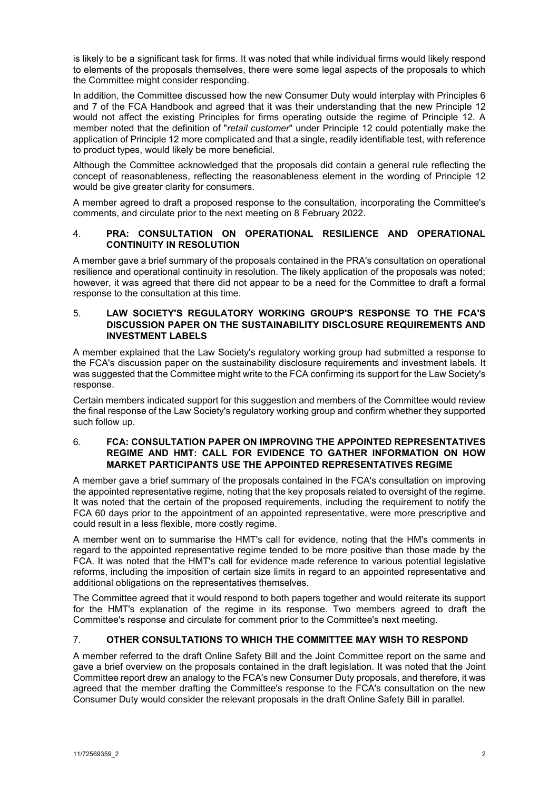is likely to be a significant task for firms. It was noted that while individual firms would likely respond to elements of the proposals themselves, there were some legal aspects of the proposals to which the Committee might consider responding.

In addition, the Committee discussed how the new Consumer Duty would interplay with Principles 6 and 7 of the FCA Handbook and agreed that it was their understanding that the new Principle 12 would not affect the existing Principles for firms operating outside the regime of Principle 12. A member noted that the definition of "*retail customer*" under Principle 12 could potentially make the application of Principle 12 more complicated and that a single, readily identifiable test, with reference to product types, would likely be more beneficial.

Although the Committee acknowledged that the proposals did contain a general rule reflecting the concept of reasonableness, reflecting the reasonableness element in the wording of Principle 12 would be give greater clarity for consumers.

A member agreed to draft a proposed response to the consultation, incorporating the Committee's comments, and circulate prior to the next meeting on 8 February 2022.

# 4. **PRA: CONSULTATION ON OPERATIONAL RESILIENCE AND OPERATIONAL CONTINUITY IN RESOLUTION**

A member gave a brief summary of the proposals contained in the PRA's consultation on operational resilience and operational continuity in resolution. The likely application of the proposals was noted; however, it was agreed that there did not appear to be a need for the Committee to draft a formal response to the consultation at this time.

### 5. **LAW SOCIETY'S REGULATORY WORKING GROUP'S RESPONSE TO THE FCA'S DISCUSSION PAPER ON THE SUSTAINABILITY DISCLOSURE REQUIREMENTS AND INVESTMENT LABELS**

A member explained that the Law Society's regulatory working group had submitted a response to the FCA's discussion paper on the sustainability disclosure requirements and investment labels. It was suggested that the Committee might write to the FCA confirming its support for the Law Society's response.

Certain members indicated support for this suggestion and members of the Committee would review the final response of the Law Society's regulatory working group and confirm whether they supported such follow up.

### 6. **FCA: CONSULTATION PAPER ON IMPROVING THE APPOINTED REPRESENTATIVES REGIME AND HMT: CALL FOR EVIDENCE TO GATHER INFORMATION ON HOW MARKET PARTICIPANTS USE THE APPOINTED REPRESENTATIVES REGIME**

A member gave a brief summary of the proposals contained in the FCA's consultation on improving the appointed representative regime, noting that the key proposals related to oversight of the regime. It was noted that the certain of the proposed requirements, including the requirement to notify the FCA 60 days prior to the appointment of an appointed representative, were more prescriptive and could result in a less flexible, more costly regime.

A member went on to summarise the HMT's call for evidence, noting that the HM's comments in regard to the appointed representative regime tended to be more positive than those made by the FCA. It was noted that the HMT's call for evidence made reference to various potential legislative reforms, including the imposition of certain size limits in regard to an appointed representative and additional obligations on the representatives themselves.

The Committee agreed that it would respond to both papers together and would reiterate its support for the HMT's explanation of the regime in its response. Two members agreed to draft the Committee's response and circulate for comment prior to the Committee's next meeting.

# 7. **OTHER CONSULTATIONS TO WHICH THE COMMITTEE MAY WISH TO RESPOND**

A member referred to the draft Online Safety Bill and the Joint Committee report on the same and gave a brief overview on the proposals contained in the draft legislation. It was noted that the Joint Committee report drew an analogy to the FCA's new Consumer Duty proposals, and therefore, it was agreed that the member drafting the Committee's response to the FCA's consultation on the new Consumer Duty would consider the relevant proposals in the draft Online Safety Bill in parallel.